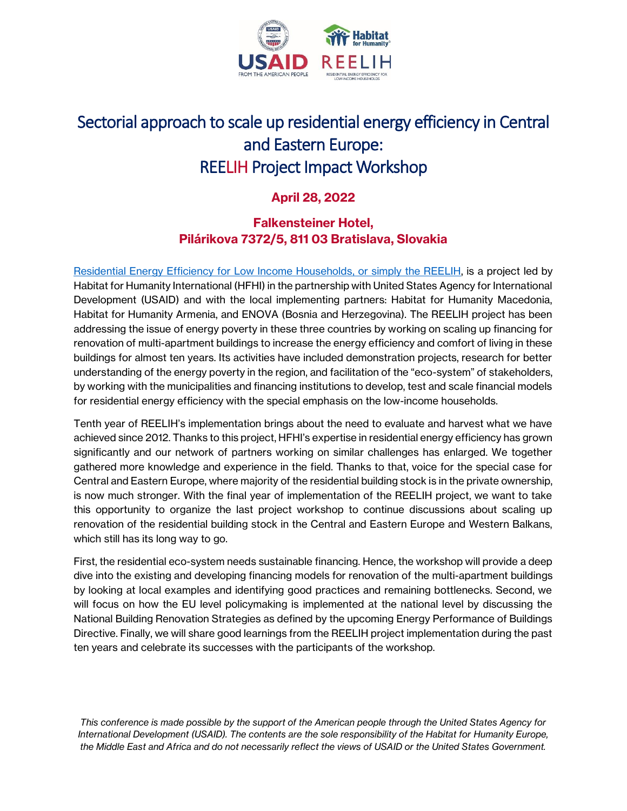

# Sectorial approach to scale up residential energy efficiency in Central and Eastern Europe: REELIH Project Impact Workshop

## **April 28, 2022**

## **Falkensteiner Hotel, Pilárikova 7372/5, 811 03 Bratislava, Slovakia**

[Residential Energy Efficiency for Low Income Households,](https://getwarmhomes.org/) or simply the REELIH, is a project led by Habitat for Humanity International (HFHI) in the partnership with United States Agency for International Development (USAID) and with the local implementing partners: Habitat for Humanity Macedonia, Habitat for Humanity Armenia, and ENOVA (Bosnia and Herzegovina). The REELIH project has been addressing the issue of energy poverty in these three countries by working on scaling up financing for renovation of multi-apartment buildings to increase the energy efficiency and comfort of living in these buildings for almost ten years. Its activities have included demonstration projects, research for better understanding of the energy poverty in the region, and facilitation of the "eco-system" of stakeholders, by working with the municipalities and financing institutions to develop, test and scale financial models for residential energy efficiency with the special emphasis on the low-income households.

Tenth year of REELIH's implementation brings about the need to evaluate and harvest what we have achieved since 2012. Thanks to this project, HFHI's expertise in residential energy efficiency has grown significantly and our network of partners working on similar challenges has enlarged. We together gathered more knowledge and experience in the field. Thanks to that, voice for the special case for Central and Eastern Europe, where majority of the residential building stock is in the private ownership, is now much stronger. With the final year of implementation of the REELIH project, we want to take this opportunity to organize the last project workshop to continue discussions about scaling up renovation of the residential building stock in the Central and Eastern Europe and Western Balkans, which still has its long way to go.

First, the residential eco-system needs sustainable financing. Hence, the workshop will provide a deep dive into the existing and developing financing models for renovation of the multi-apartment buildings by looking at local examples and identifying good practices and remaining bottlenecks. Second, we will focus on how the EU level policymaking is implemented at the national level by discussing the National Building Renovation Strategies as defined by the upcoming Energy Performance of Buildings Directive. Finally, we will share good learnings from the REELIH project implementation during the past ten years and celebrate its successes with the participants of the workshop.

*This conference is made possible by the support of the American people through the United States Agency for International Development (USAID). The contents are the sole responsibility of the Habitat for Humanity Europe, the Middle East and Africa and do not necessarily reflect the views of USAID or the United States Government.*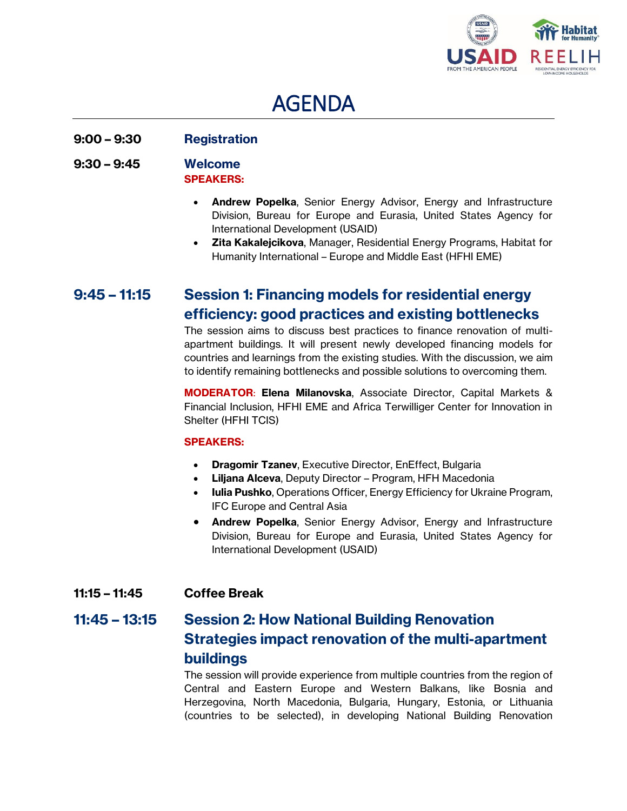

# AGENDA

## **9:00 – 9:30 Registration**

#### **9:30 – 9:45 Welcome SPEAKERS:**

- **Andrew Popelka**, Senior Energy Advisor, Energy and Infrastructure Division, Bureau for Europe and Eurasia, United States Agency for International Development (USAID)
- **Zita Kakalejcikova**, Manager, Residential Energy Programs, Habitat for Humanity International – Europe and Middle East (HFHI EME)

# **9:45 – 11:15 Session 1: Financing models for residential energy efficiency: good practices and existing bottlenecks**

The session aims to discuss best practices to finance renovation of multiapartment buildings. It will present newly developed financing models for countries and learnings from the existing studies. With the discussion, we aim to identify remaining bottlenecks and possible solutions to overcoming them.

**MODERATOR**: **Elena Milanovska**, Associate Director, Capital Markets & Financial Inclusion, HFHI EME and Africa Terwilliger Center for Innovation in Shelter (HFHI TCIS)

#### **SPEAKERS:**

- **Dragomir Tzanev**, Executive Director, EnEffect, Bulgaria
- **Liljana Alceva**, Deputy Director Program, HFH Macedonia
- **Iulia Pushko**, Operations Officer, Energy Efficiency for Ukraine Program, IFC Europe and Central Asia
- **Andrew Popelka**, Senior Energy Advisor, Energy and Infrastructure Division, Bureau for Europe and Eurasia, United States Agency for International Development (USAID)

## **11:15 – 11:45 Coffee Break**

# **11:45 – 13:15 Session 2: How National Building Renovation Strategies impact renovation of the multi-apartment buildings**

The session will provide experience from multiple countries from the region of Central and Eastern Europe and Western Balkans, like Bosnia and Herzegovina, North Macedonia, Bulgaria, Hungary, Estonia, or Lithuania (countries to be selected), in developing National Building Renovation